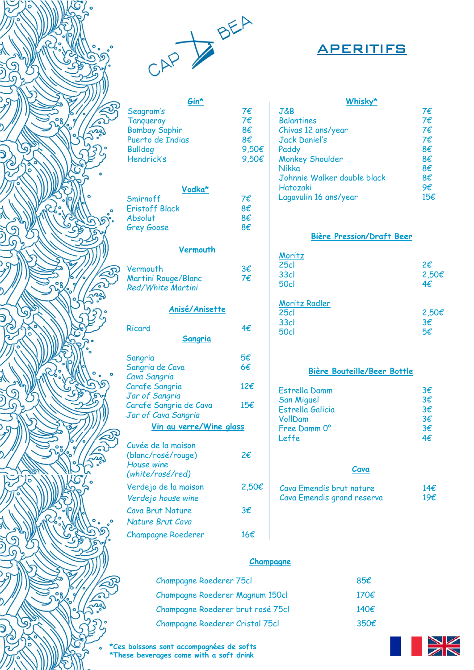



**Gin\***

**Vodka\*** 

**Vermouth** 

**Anisé/Anisette** 

**Sangria**

**Vin au verre/Wine glass**

# APERITIFS

|    | Whisky*                     |     |
|----|-----------------------------|-----|
|    | J&B                         | 7€  |
|    | <b>Balantines</b>           | 7€  |
|    | Chivas 12 ans/year          | 7€  |
|    | <b>Jack Daniel's</b>        | 7€  |
| €  | Paddy                       | 8€  |
| λ€ | <b>Monkey Shoulder</b>      | 8€  |
|    | Nikka                       | 8€  |
|    | Johnnie Walker double black | 8€  |
|    | Hatozaki                    | 9€  |
|    | Lagavulin 16 ans/year       | 15€ |

### **Bière Pression/Draft Beer**

| Moritz        |       |
|---------------|-------|
| 25c           | 2€    |
| <b>33cl</b>   | 2,50€ |
| <b>50cl</b>   | 4€    |
|               |       |
| Moritz Radler |       |
| 25c           | 2,50€ |
| <b>33cl</b>   | 3€    |
| 50cl          | ҕ₽    |
|               |       |

### **Bière Bouteille/Beer Bottle**

| Estrella Damm     | 3€           |
|-------------------|--------------|
| <b>San Miguel</b> | 3€           |
| Estrella Galicia  | 3€           |
| VollDam           | $3 \epsilon$ |
| Free Damm 0°      | 3€           |
| Leffe             | 4f           |

#### **Cava**

| Cava Emendis brut nature   | 14 $\epsilon$ |
|----------------------------|---------------|
| Cava Emendis grand reserva | 19€           |

## **Champagne**

| <b>Champagne Roederer 75cl</b>    | 85€           |
|-----------------------------------|---------------|
| Champagne Roederer Magnum 150cl   | 170 $\notin$  |
| Champagne Roederer brut rosé 75cl | 140 $\notin$  |
| Champagne Roederer Cristal 75cl   | $350\epsilon$ |

**\*Ces boissons sont accompagnées de softs \*These beverages come with a soft drink**